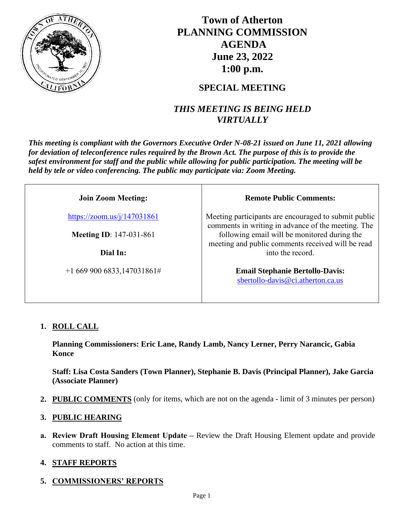

# **Town of Atherton PLANNING COMMISSION AGENDA June 23, 2022 1:00 p.m.**

## **SPECIAL MEETING**

## *THIS MEETING IS BEING HELD VIRTUALLY*

*This meeting is compliant with the Governors Executive Order N-08-21 issued on June 11, 2021 allowing for deviation of teleconference rules required by the Brown Act. The purpose of this is to provide the safest environment for staff and the public while allowing for public participation. The meeting will be held by tele or video conferencing. The public may participate via: Zoom Meeting.*

| <b>Join Zoom Meeting:</b>      | <b>Remote Public Comments:</b>                                                                             |  |  |  |
|--------------------------------|------------------------------------------------------------------------------------------------------------|--|--|--|
| https://zoom.us/j/147031861    | Meeting participants are encouraged to submit public<br>comments in writing in advance of the meeting. The |  |  |  |
| <b>Meeting ID: 147-031-861</b> | following email will be monitored during the<br>meeting and public comments received will be read          |  |  |  |
| Dial In:                       | into the record.                                                                                           |  |  |  |
| $+16699006833,147031861#$      | <b>Email Stephanie Bertollo-Davis:</b><br>sbertollo-davis@ci.atherton.ca.us                                |  |  |  |

## **1. ROLL CALL**

**Planning Commissioners: Eric Lane, Randy Lamb, Nancy Lerner, Perry Narancic, Gabia Konce**

**Staff: Lisa Costa Sanders (Town Planner), Stephanie B. Davis (Principal Planner), Jake Garcia (Associate Planner)**

**2. PUBLIC COMMENTS** (only for items, which are not on the agenda - limit of 3 minutes per person)

### **3. PUBLIC HEARING**

**a. Review Draft Housing Element Update –** Review the Draft Housing Element update and provide comments to staff. No action at this time.

## **4. STAFF REPORTS**

## **5. COMMISSIONERS' REPORTS**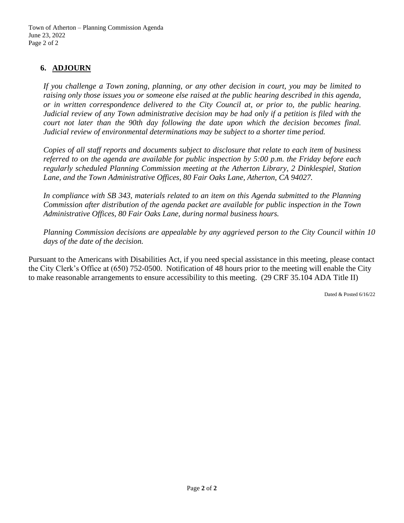### **6. ADJOURN**

*If you challenge a Town zoning, planning, or any other decision in court, you may be limited to raising only those issues you or someone else raised at the public hearing described in this agenda, or in written correspondence delivered to the City Council at, or prior to, the public hearing. Judicial review of any Town administrative decision may be had only if a petition is filed with the court not later than the 90th day following the date upon which the decision becomes final. Judicial review of environmental determinations may be subject to a shorter time period.*

*Copies of all staff reports and documents subject to disclosure that relate to each item of business referred to on the agenda are available for public inspection by 5:00 p.m. the Friday before each regularly scheduled Planning Commission meeting at the Atherton Library, 2 Dinklespiel, Station Lane, and the Town Administrative Offices, 80 Fair Oaks Lane, Atherton, CA 94027.*

*In compliance with SB 343, materials related to an item on this Agenda submitted to the Planning Commission after distribution of the agenda packet are available for public inspection in the Town Administrative Offices, 80 Fair Oaks Lane, during normal business hours.*

*Planning Commission decisions are appealable by any aggrieved person to the City Council within 10 days of the date of the decision.*

Pursuant to the Americans with Disabilities Act, if you need special assistance in this meeting, please contact the City Clerk's Office at (650) 752-0500. Notification of 48 hours prior to the meeting will enable the City to make reasonable arrangements to ensure accessibility to this meeting. (29 CRF 35.104 ADA Title II)

Dated & Posted 6/16/22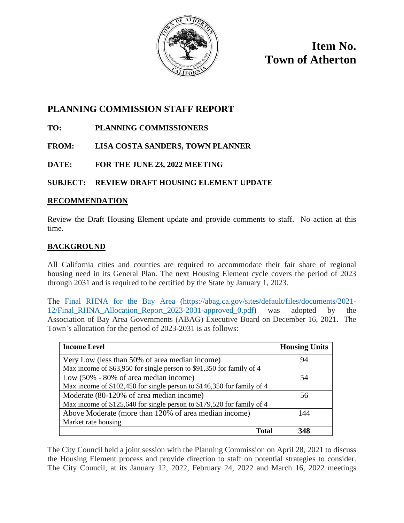

**Item No. Town of Atherton**

## **PLANNING COMMISSION STAFF REPORT**

- **TO: PLANNING COMMISSIONERS**
- **FROM: LISA COSTA SANDERS, TOWN PLANNER**
- **DATE: FOR THE JUNE 23, 2022 MEETING**

## **SUBJECT: REVIEW DRAFT HOUSING ELEMENT UPDATE**

#### **RECOMMENDATION**

Review the Draft Housing Element update and provide comments to staff. No action at this time.

### **BACKGROUND**

All California cities and counties are required to accommodate their fair share of regional housing need in its General Plan. The next Housing Element cycle covers the period of 2023 through 2031 and is required to be certified by the State by January 1, 2023.

The [Final RHNA for the Bay Area](https://abag.ca.gov/sites/default/files/documents/2021-12/Final_RHNA_Allocation_Report_2023-2031-approved_0.pdf) [\(https://abag.ca.gov/sites/default/files/documents/2021-](https://abag.ca.gov/sites/default/files/documents/2021-12/Final_RHNA_Allocation_Report_2023-2031-approved_0.pdf) [12/Final\\_RHNA\\_Allocation\\_Report\\_2023-2031-approved\\_0.pdf\)](https://abag.ca.gov/sites/default/files/documents/2021-12/Final_RHNA_Allocation_Report_2023-2031-approved_0.pdf) was adopted by the Association of Bay Area Governments (ABAG) Executive Board on December 16, 2021. The Town's allocation for the period of 2023-2031 is as follows:

| <b>Income Level</b>                                                    | <b>Housing Units</b> |
|------------------------------------------------------------------------|----------------------|
| Very Low (less than 50% of area median income)                         | 94                   |
| Max income of \$63,950 for single person to \$91,350 for family of 4   |                      |
| Low (50% - 80% of area median income)                                  | 54                   |
| Max income of \$102,450 for single person to \$146,350 for family of 4 |                      |
| Moderate (80-120% of area median income)                               | 56                   |
| Max income of \$125,640 for single person to \$179,520 for family of 4 |                      |
| Above Moderate (more than 120% of area median income)                  | 144                  |
| Market rate housing                                                    |                      |
| Total                                                                  | 348                  |

The City Council held a joint session with the Planning Commission on April 28, 2021 to discuss the Housing Element process and provide direction to staff on potential strategies to consider. The City Council, at its January 12, 2022, February 24, 2022 and March 16, 2022 meetings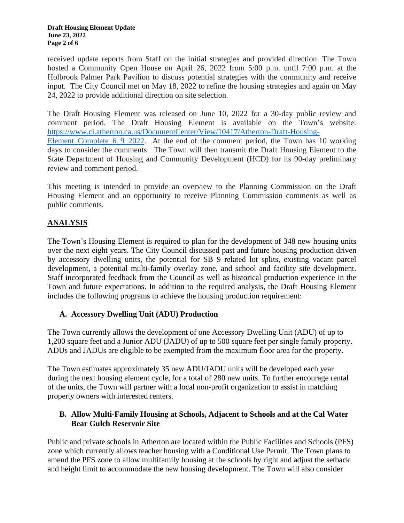received update reports from Staff on the initial strategies and provided direction. The Town hosted a Community Open House on April 26, 2022 from 5:00 p.m. until 7:00 p.m. at the Holbrook Palmer Park Pavilion to discuss potential strategies with the community and receive input. The City Council met on May 18, 2022 to refine the housing strategies and again on May 24, 2022 to provide additional direction on site selection.

The Draft Housing Element was released on June 10, 2022 for a 30-day public review and comment period. The Draft Housing Element is available on the Town's website: [https://www.ci.atherton.ca.us/DocumentCenter/View/10417/Atherton-Draft-Housing-](https://www.ci.atherton.ca.us/DocumentCenter/View/10417/Atherton-Draft-Housing-Element_Complete_6_9_2022)Element Complete 6 9 2022. At the end of the comment period, the Town has 10 working days to consider the comments. The Town will then transmit the Draft Housing Element to the State Department of Housing and Community Development (HCD) for its 90-day preliminary review and comment period.

This meeting is intended to provide an overview to the Planning Commission on the Draft Housing Element and an opportunity to receive Planning Commission comments as well as public comments.

## **ANALYSIS**

The Town's Housing Element is required to plan for the development of 348 new housing units over the next eight years. The City Council discussed past and future housing production driven by accessory dwelling units, the potential for SB 9 related lot splits, existing vacant parcel development, a potential multi-family overlay zone, and school and facility site development. Staff incorporated feedback from the Council as well as historical production experience in the Town and future expectations. In addition to the required analysis, the Draft Housing Element includes the following programs to achieve the housing production requirement:

### **A. Accessory Dwelling Unit (ADU) Production**

The Town currently allows the development of one Accessory Dwelling Unit (ADU) of up to 1,200 square feet and a Junior ADU (JADU) of up to 500 square feet per single family property. ADUs and JADUs are eligible to be exempted from the maximum floor area for the property.

The Town estimates approximately 35 new ADU/JADU units will be developed each year during the next housing element cycle, for a total of 280 new units. To further encourage rental of the units, the Town will partner with a local non-profit organization to assist in matching property owners with interested renters.

#### **B. Allow Multi-Family Housing at Schools, Adjacent to Schools and at the Cal Water Bear Gulch Reservoir Site**

Public and private schools in Atherton are located within the Public Facilities and Schools (PFS) zone which currently allows teacher housing with a Conditional Use Permit. The Town plans to amend the PFS zone to allow multifamily housing at the schools by right and adjust the setback and height limit to accommodate the new housing development. The Town will also consider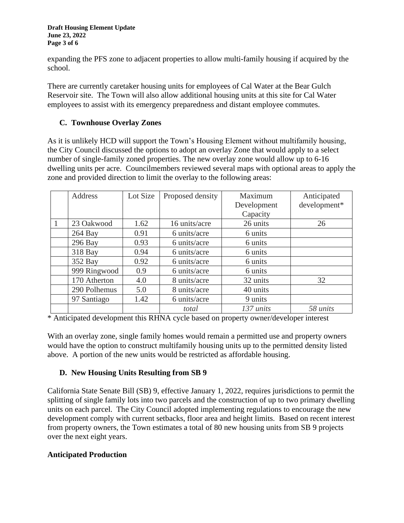expanding the PFS zone to adjacent properties to allow multi-family housing if acquired by the school.

There are currently caretaker housing units for employees of Cal Water at the Bear Gulch Reservoir site. The Town will also allow additional housing units at this site for Cal Water employees to assist with its emergency preparedness and distant employee commutes.

### **C. Townhouse Overlay Zones**

As it is unlikely HCD will support the Town's Housing Element without multifamily housing, the City Council discussed the options to adopt an overlay Zone that would apply to a select number of single-family zoned properties. The new overlay zone would allow up to 6-16 dwelling units per acre. Councilmembers reviewed several maps with optional areas to apply the zone and provided direction to limit the overlay to the following areas:

| <b>Address</b> | Lot Size | Proposed density | Maximum     | Anticipated  |
|----------------|----------|------------------|-------------|--------------|
|                |          |                  | Development | development* |
|                |          |                  | Capacity    |              |
| 23 Oakwood     | 1.62     | 16 units/acre    | 26 units    | 26           |
| $264$ Bay      | 0.91     | 6 units/acre     | 6 units     |              |
| 296 Bay        | 0.93     | 6 units/acre     | 6 units     |              |
| 318 Bay        | 0.94     | 6 units/acre     | 6 units     |              |
| 352 Bay        | 0.92     | 6 units/acre     | 6 units     |              |
| 999 Ringwood   | 0.9      | 6 units/acre     | 6 units     |              |
| 170 Atherton   | 4.0      | 8 units/acre     | 32 units    | 32           |
| 290 Polhemus   | 5.0      | 8 units/acre     | 40 units    |              |
| 97 Santiago    | 1.42     | 6 units/acre     | 9 units     |              |
|                |          | total            | 137 units   | 58 units     |

\* Anticipated development this RHNA cycle based on property owner/developer interest

With an overlay zone, single family homes would remain a permitted use and property owners would have the option to construct multifamily housing units up to the permitted density listed above. A portion of the new units would be restricted as affordable housing.

### **D. New Housing Units Resulting from SB 9**

California State Senate Bill (SB) 9, effective January 1, 2022, requires jurisdictions to permit the splitting of single family lots into two parcels and the construction of up to two primary dwelling units on each parcel. The City Council adopted implementing regulations to encourage the new development comply with current setbacks, floor area and height limits. Based on recent interest from property owners, the Town estimates a total of 80 new housing units from SB 9 projects over the next eight years.

## **Anticipated Production**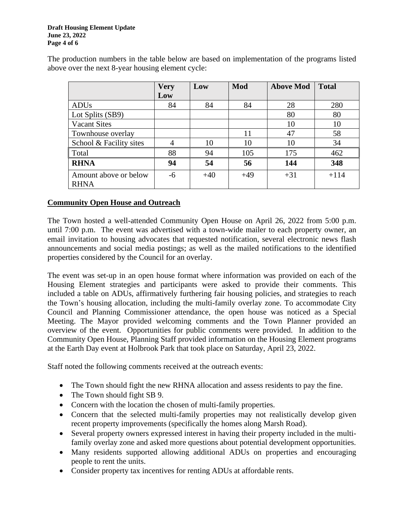#### **Draft Housing Element Update June 23, 2022 Page 4 of 6**

|                                      | <b>Very</b>    | Low   | Mod   | <b>Above Mod</b> | <b>Total</b> |
|--------------------------------------|----------------|-------|-------|------------------|--------------|
|                                      | Low            |       |       |                  |              |
| <b>ADUs</b>                          | 84             | 84    | 84    | 28               | 280          |
| Lot Splits (SB9)                     |                |       |       | 80               | 80           |
| <b>Vacant Sites</b>                  |                |       |       | 10               | 10           |
| Townhouse overlay                    |                |       | 11    | 47               | 58           |
| School & Facility sites              | $\overline{4}$ | 10    | 10    | 10               | 34           |
| Total                                | 88             | 94    | 105   | 175              | 462          |
| <b>RHNA</b>                          | 94             | 54    | 56    | 144              | 348          |
| Amount above or below<br><b>RHNA</b> | $-6$           | $+40$ | $+49$ | $+31$            | $+114$       |

The production numbers in the table below are based on implementation of the programs listed above over the next 8-year housing element cycle:

#### **Community Open House and Outreach**

The Town hosted a well-attended Community Open House on April 26, 2022 from 5:00 p.m. until 7:00 p.m. The event was advertised with a town-wide mailer to each property owner, an email invitation to housing advocates that requested notification, several electronic news flash announcements and social media postings; as well as the mailed notifications to the identified properties considered by the Council for an overlay.

The event was set-up in an open house format where information was provided on each of the Housing Element strategies and participants were asked to provide their comments. This included a table on ADUs, affirmatively furthering fair housing policies, and strategies to reach the Town's housing allocation, including the multi-family overlay zone. To accommodate City Council and Planning Commissioner attendance, the open house was noticed as a Special Meeting. The Mayor provided welcoming comments and the Town Planner provided an overview of the event. Opportunities for public comments were provided. In addition to the Community Open House, Planning Staff provided information on the Housing Element programs at the Earth Day event at Holbrook Park that took place on Saturday, April 23, 2022.

Staff noted the following comments received at the outreach events:

- The Town should fight the new RHNA allocation and assess residents to pay the fine.
- The Town should fight SB 9.
- Concern with the location the chosen of multi-family properties.
- Concern that the selected multi-family properties may not realistically develop given recent property improvements (specifically the homes along Marsh Road).
- Several property owners expressed interest in having their property included in the multifamily overlay zone and asked more questions about potential development opportunities.
- Many residents supported allowing additional ADUs on properties and encouraging people to rent the units.
- Consider property tax incentives for renting ADUs at affordable rents.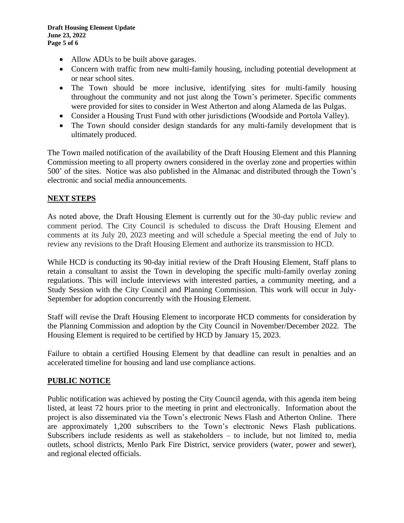- Allow ADUs to be built above garages.
- Concern with traffic from new multi-family housing, including potential development at or near school sites.
- The Town should be more inclusive, identifying sites for multi-family housing throughout the community and not just along the Town's perimeter. Specific comments were provided for sites to consider in West Atherton and along Alameda de las Pulgas.
- Consider a Housing Trust Fund with other jurisdictions (Woodside and Portola Valley).
- The Town should consider design standards for any multi-family development that is ultimately produced.

The Town mailed notification of the availability of the Draft Housing Element and this Planning Commission meeting to all property owners considered in the overlay zone and properties within 500' of the sites. Notice was also published in the Almanac and distributed through the Town's electronic and social media announcements.

## **NEXT STEPS**

As noted above, the Draft Housing Element is currently out for the 30-day public review and comment period. The City Council is scheduled to discuss the Draft Housing Element and comments at its July 20, 2023 meeting and will schedule a Special meeting the end of July to review any revisions to the Draft Housing Element and authorize its transmission to HCD.

While HCD is conducting its 90-day initial review of the Draft Housing Element, Staff plans to retain a consultant to assist the Town in developing the specific multi-family overlay zoning regulations. This will include interviews with interested parties, a community meeting, and a Study Session with the City Council and Planning Commission. This work will occur in July-September for adoption concurrently with the Housing Element.

Staff will revise the Draft Housing Element to incorporate HCD comments for consideration by the Planning Commission and adoption by the City Council in November/December 2022. The Housing Element is required to be certified by HCD by January 15, 2023.

Failure to obtain a certified Housing Element by that deadline can result in penalties and an accelerated timeline for housing and land use compliance actions.

### **PUBLIC NOTICE**

Public notification was achieved by posting the City Council agenda, with this agenda item being listed, at least 72 hours prior to the meeting in print and electronically. Information about the project is also disseminated via the Town's electronic News Flash and Atherton Online. There are approximately 1,200 subscribers to the Town's electronic News Flash publications. Subscribers include residents as well as stakeholders – to include, but not limited to, media outlets, school districts, Menlo Park Fire District, service providers (water, power and sewer), and regional elected officials.